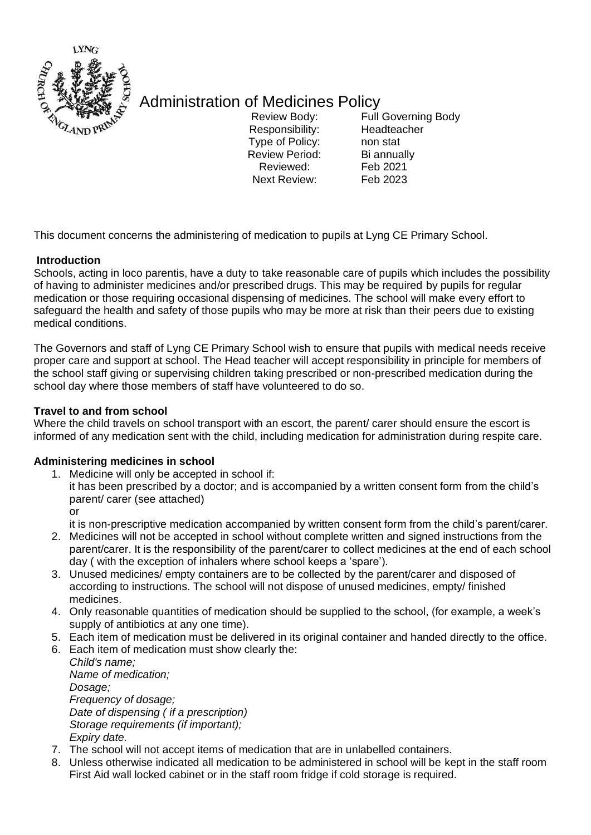

## Administration of Medicines Policy

Responsibility: Headteacher Type of Policy: non stat Review Period: Bi annually Reviewed: Feb 2021<br>Next Review: Feb 2023 Next Review:

Review Body: Full Governing Body

This document concerns the administering of medication to pupils at Lyng CE Primary School.

## **Introduction**

Schools, acting in loco parentis, have a duty to take reasonable care of pupils which includes the possibility of having to administer medicines and/or prescribed drugs. This may be required by pupils for regular medication or those requiring occasional dispensing of medicines. The school will make every effort to safeguard the health and safety of those pupils who may be more at risk than their peers due to existing medical conditions.

The Governors and staff of Lyng CE Primary School wish to ensure that pupils with medical needs receive proper care and support at school. The Head teacher will accept responsibility in principle for members of the school staff giving or supervising children taking prescribed or non-prescribed medication during the school day where those members of staff have volunteered to do so.

## **Travel to and from school**

Where the child travels on school transport with an escort, the parent/ carer should ensure the escort is informed of any medication sent with the child, including medication for administration during respite care.

#### **Administering medicines in school**

1. Medicine will only be accepted in school if: it has been prescribed by a doctor; and is accompanied by a written consent form from the child's parent/ carer (see attached) or

it is non-prescriptive medication accompanied by written consent form from the child's parent/carer.

- 2. Medicines will not be accepted in school without complete written and signed instructions from the parent/carer. It is the responsibility of the parent/carer to collect medicines at the end of each school day ( with the exception of inhalers where school keeps a 'spare').
- 3. Unused medicines/ empty containers are to be collected by the parent/carer and disposed of according to instructions. The school will not dispose of unused medicines, empty/ finished medicines.
- 4. Only reasonable quantities of medication should be supplied to the school, (for example, a week's supply of antibiotics at any one time).
- 5. Each item of medication must be delivered in its original container and handed directly to the office.
- 6. Each item of medication must show clearly the:

*Child's name; Name of medication; Dosage; Frequency of dosage; Date of dispensing ( if a prescription) Storage requirements (if important); Expiry date.* 

- 7. The school will not accept items of medication that are in unlabelled containers.
- 8. Unless otherwise indicated all medication to be administered in school will be kept in the staff room First Aid wall locked cabinet or in the staff room fridge if cold storage is required.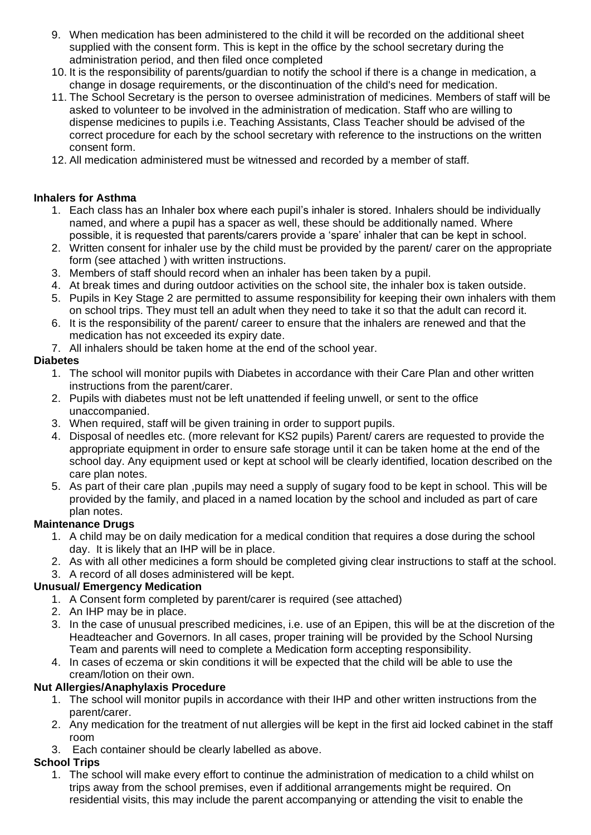- 9. When medication has been administered to the child it will be recorded on the additional sheet supplied with the consent form. This is kept in the office by the school secretary during the administration period, and then filed once completed
- 10. It is the responsibility of parents/guardian to notify the school if there is a change in medication, a change in dosage requirements, or the discontinuation of the child's need for medication.
- 11. The School Secretary is the person to oversee administration of medicines. Members of staff will be asked to volunteer to be involved in the administration of medication. Staff who are willing to dispense medicines to pupils i.e. Teaching Assistants, Class Teacher should be advised of the correct procedure for each by the school secretary with reference to the instructions on the written consent form.
- 12. All medication administered must be witnessed and recorded by a member of staff.

### **Inhalers for Asthma**

- 1. Each class has an Inhaler box where each pupil's inhaler is stored. Inhalers should be individually named, and where a pupil has a spacer as well, these should be additionally named. Where possible, it is requested that parents/carers provide a 'spare' inhaler that can be kept in school.
- 2. Written consent for inhaler use by the child must be provided by the parent/ carer on the appropriate form (see attached ) with written instructions.
- 3. Members of staff should record when an inhaler has been taken by a pupil.
- 4. At break times and during outdoor activities on the school site, the inhaler box is taken outside.
- 5. Pupils in Key Stage 2 are permitted to assume responsibility for keeping their own inhalers with them on school trips. They must tell an adult when they need to take it so that the adult can record it.
- 6. It is the responsibility of the parent/ career to ensure that the inhalers are renewed and that the medication has not exceeded its expiry date.
- 7. All inhalers should be taken home at the end of the school year.

### **Diabetes**

- 1. The school will monitor pupils with Diabetes in accordance with their Care Plan and other written instructions from the parent/carer.
- 2. Pupils with diabetes must not be left unattended if feeling unwell, or sent to the office unaccompanied.
- 3. When required, staff will be given training in order to support pupils.
- 4. Disposal of needles etc. (more relevant for KS2 pupils) Parent/ carers are requested to provide the appropriate equipment in order to ensure safe storage until it can be taken home at the end of the school day. Any equipment used or kept at school will be clearly identified, location described on the care plan notes.
- 5. As part of their care plan ,pupils may need a supply of sugary food to be kept in school. This will be provided by the family, and placed in a named location by the school and included as part of care plan notes.

## **Maintenance Drugs**

- 1. A child may be on daily medication for a medical condition that requires a dose during the school day. It is likely that an IHP will be in place.
- 2. As with all other medicines a form should be completed giving clear instructions to staff at the school.
- 3. A record of all doses administered will be kept.

## **Unusual/ Emergency Medication**

- 1. A Consent form completed by parent/carer is required (see attached)
- 2. An IHP may be in place.
- 3. In the case of unusual prescribed medicines, i.e. use of an Epipen, this will be at the discretion of the Headteacher and Governors. In all cases, proper training will be provided by the School Nursing Team and parents will need to complete a Medication form accepting responsibility.
- 4. In cases of eczema or skin conditions it will be expected that the child will be able to use the cream/lotion on their own.

## **Nut Allergies/Anaphylaxis Procedure**

- 1. The school will monitor pupils in accordance with their IHP and other written instructions from the parent/carer.
- 2. Any medication for the treatment of nut allergies will be kept in the first aid locked cabinet in the staff room
- 3. Each container should be clearly labelled as above.

## **School Trips**

1. The school will make every effort to continue the administration of medication to a child whilst on trips away from the school premises, even if additional arrangements might be required. On residential visits, this may include the parent accompanying or attending the visit to enable the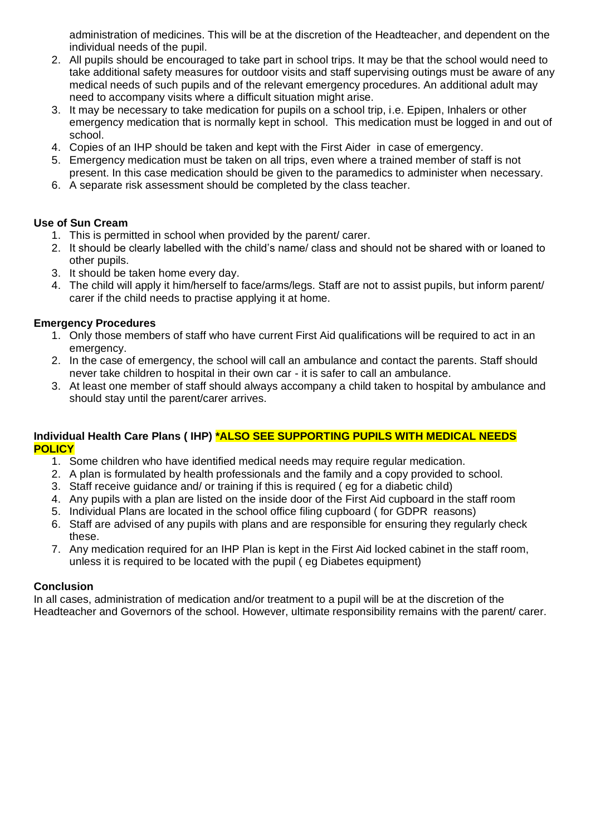administration of medicines. This will be at the discretion of the Headteacher, and dependent on the individual needs of the pupil.

- 2. All pupils should be encouraged to take part in school trips. It may be that the school would need to take additional safety measures for outdoor visits and staff supervising outings must be aware of any medical needs of such pupils and of the relevant emergency procedures. An additional adult may need to accompany visits where a difficult situation might arise.
- 3. It may be necessary to take medication for pupils on a school trip, i.e. Epipen, Inhalers or other emergency medication that is normally kept in school. This medication must be logged in and out of school.
- 4. Copies of an IHP should be taken and kept with the First Aider in case of emergency.
- 5. Emergency medication must be taken on all trips, even where a trained member of staff is not present. In this case medication should be given to the paramedics to administer when necessary.
- 6. A separate risk assessment should be completed by the class teacher.

#### **Use of Sun Cream**

- 1. This is permitted in school when provided by the parent/ carer.
- 2. It should be clearly labelled with the child's name/ class and should not be shared with or loaned to other pupils.
- 3. It should be taken home every day.
- 4. The child will apply it him/herself to face/arms/legs. Staff are not to assist pupils, but inform parent/ carer if the child needs to practise applying it at home.

#### **Emergency Procedures**

- 1. Only those members of staff who have current First Aid qualifications will be required to act in an emergency.
- 2. In the case of emergency, the school will call an ambulance and contact the parents. Staff should never take children to hospital in their own car - it is safer to call an ambulance.
- 3. At least one member of staff should always accompany a child taken to hospital by ambulance and should stay until the parent/carer arrives.

#### **Individual Health Care Plans ( IHP) \*ALSO SEE SUPPORTING PUPILS WITH MEDICAL NEEDS POLICY**

- 1. Some children who have identified medical needs may require regular medication.
- 2. A plan is formulated by health professionals and the family and a copy provided to school.
- 3. Staff receive guidance and/ or training if this is required ( eg for a diabetic child)
- 4. Any pupils with a plan are listed on the inside door of the First Aid cupboard in the staff room
- 5. Individual Plans are located in the school office filing cupboard ( for GDPR reasons)
- 6. Staff are advised of any pupils with plans and are responsible for ensuring they regularly check these.
- 7. Any medication required for an IHP Plan is kept in the First Aid locked cabinet in the staff room, unless it is required to be located with the pupil ( eg Diabetes equipment)

#### **Conclusion**

In all cases, administration of medication and/or treatment to a pupil will be at the discretion of the Headteacher and Governors of the school. However, ultimate responsibility remains with the parent/ carer.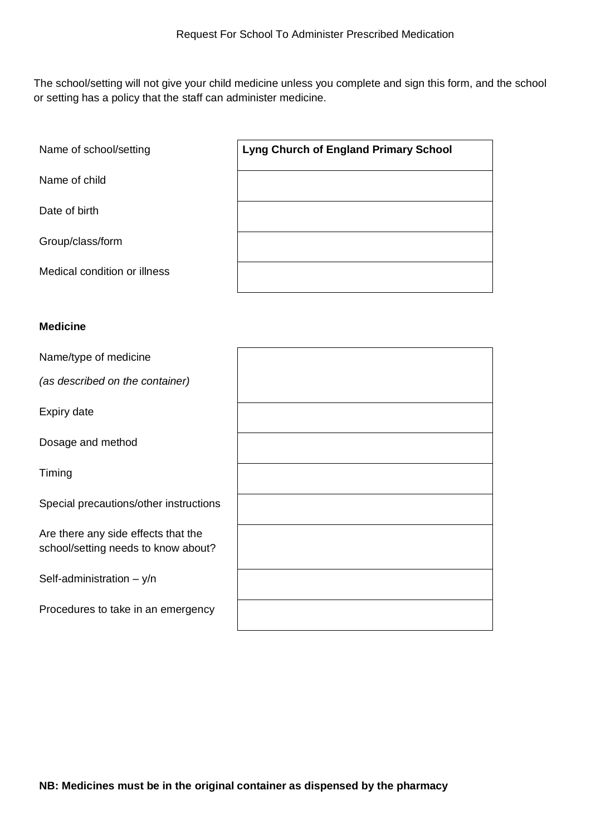The school/setting will not give your child medicine unless you complete and sign this form, and the school or setting has a policy that the staff can administer medicine.

Name of child

Date of birth

Group/class/form

Medical condition or illness

#### **Medicine**

Name/type of medicine *(as described on the container)* Expiry date Dosage and method Timing Special precautions/other instructions Are there any side effects that the school/setting needs to know about? Self-administration  $- y/n$ Procedures to take in an emergency

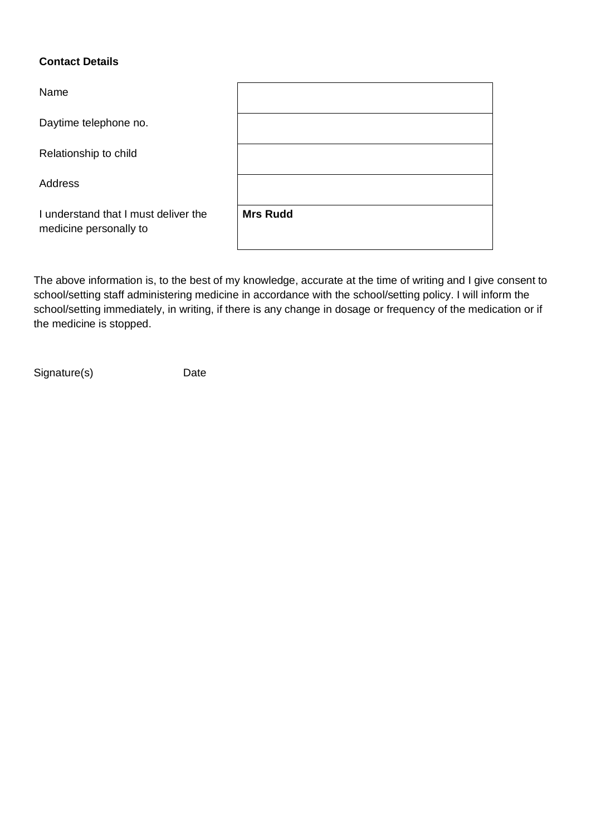## **Contact Details**

| Name                                                           |                 |
|----------------------------------------------------------------|-----------------|
| Daytime telephone no.                                          |                 |
| Relationship to child                                          |                 |
| Address                                                        |                 |
| I understand that I must deliver the<br>medicine personally to | <b>Mrs Rudd</b> |

The above information is, to the best of my knowledge, accurate at the time of writing and I give consent to school/setting staff administering medicine in accordance with the school/setting policy. I will inform the school/setting immediately, in writing, if there is any change in dosage or frequency of the medication or if the medicine is stopped.

Signature(s) Date